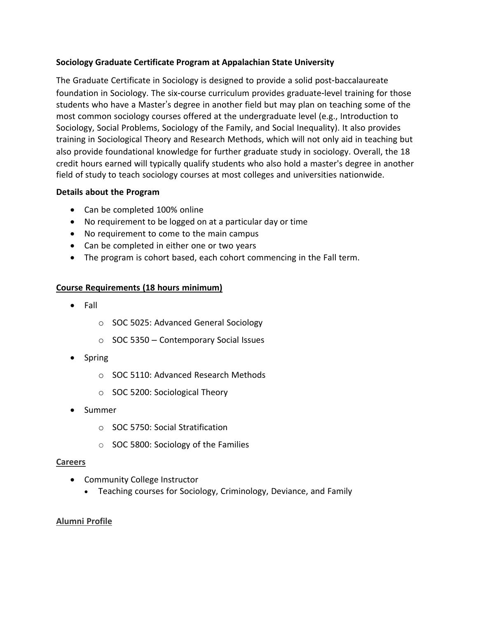## **Sociology Graduate Certificate Program at Appalachian State University**

The Graduate Certificate in Sociology is designed to provide a solid post-baccalaureate foundation in Sociology. The six-course curriculum provides graduate-level training for those students who have a Master's degree in another field but may plan on teaching some of the most common sociology courses offered at the undergraduate level (e.g., Introduction to Sociology, Social Problems, Sociology of the Family, and Social Inequality). It also provides training in Sociological Theory and Research Methods, which will not only aid in teaching but also provide foundational knowledge for further graduate study in sociology. Overall, the 18 credit hours earned will typically qualify students who also hold a master's degree in another field of study to teach sociology courses at most colleges and universities nationwide.

#### **Details about the Program**

- Can be completed 100% online
- No requirement to be logged on at a particular day or time
- No requirement to come to the main campus
- Can be completed in either one or two years
- The program is cohort based, each cohort commencing in the Fall term.

## **Course Requirements (18 hours minimum)**

- Fall
	- o SOC 5025: Advanced General Sociology
	- $\circ$  SOC 5350 Contemporary Social Issues
- Spring
	- o SOC 5110: Advanced Research Methods
	- o SOC 5200: Sociological Theory
- Summer
	- o SOC 5750: Social Stratification
	- o SOC 5800: Sociology of the Families

#### **Careers**

- Community College Instructor
	- Teaching courses for Sociology, Criminology, Deviance, and Family

#### **Alumni Profile**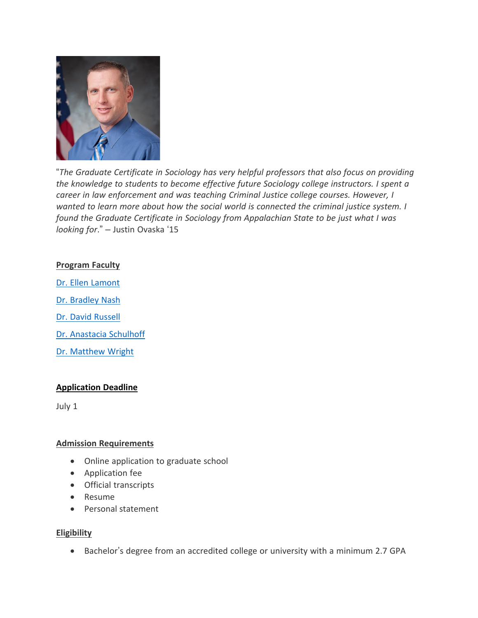

"*The Graduate Certificate in Sociology has very helpful professors that also focus on providing the knowledge to students to become effective future Sociology college instructors. I spent a career in law enforcement and was teaching Criminal Justice college courses. However, I wanted to learn more about how the social world is connected the criminal justice system. I found the Graduate Certificate in Sociology from Appalachian State to be just what I was looking for*." – Justin Ovaska '15

#### **Program Faculty**

Dr. Ellen Lamont Dr. Bradley Nash Dr. David Russell

Dr. Anastacia Schulhoff

Dr. Matthew Wright

#### **Application Deadline**

July 1

#### **Admission Requirements**

- Online application to graduate school
- Application fee
- Official transcripts
- Resume
- Personal statement

#### **Eligibility**

• Bachelor's degree from an accredited college or university with a minimum 2.7 GPA